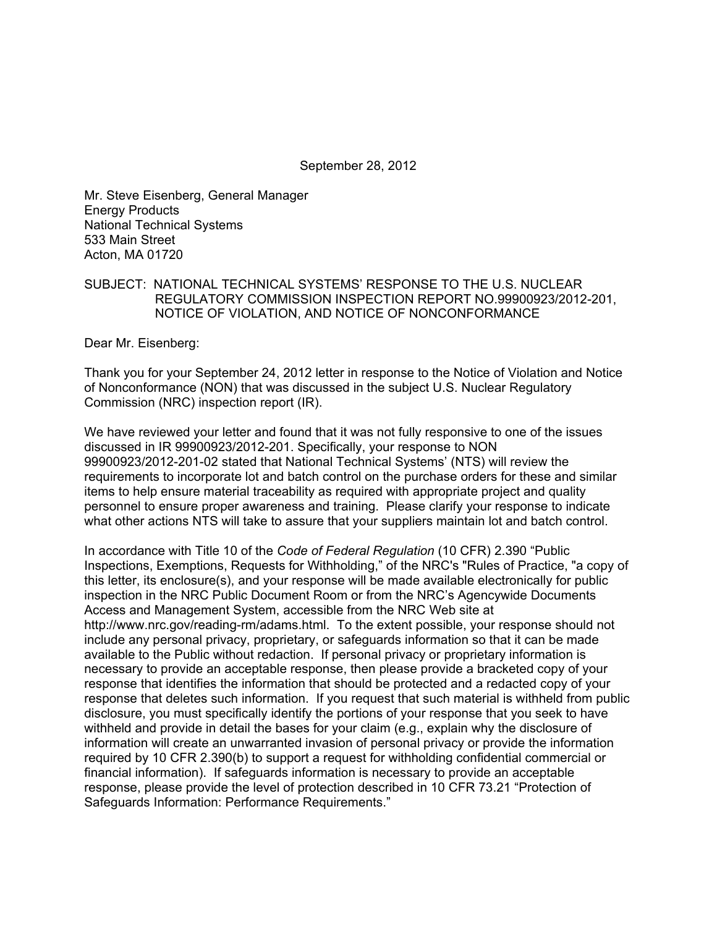September 28, 2012

Mr. Steve Eisenberg, General Manager Energy Products National Technical Systems 533 Main Street Acton, MA 01720

## SUBJECT: NATIONAL TECHNICAL SYSTEMS' RESPONSE TO THE U.S. NUCLEAR REGULATORY COMMISSION INSPECTION REPORT NO.99900923/2012-201, NOTICE OF VIOLATION, AND NOTICE OF NONCONFORMANCE

Dear Mr. Eisenberg:

Thank you for your September 24, 2012 letter in response to the Notice of Violation and Notice of Nonconformance (NON) that was discussed in the subject U.S. Nuclear Regulatory Commission (NRC) inspection report (IR).

We have reviewed your letter and found that it was not fully responsive to one of the issues discussed in IR 99900923/2012-201. Specifically, your response to NON 99900923/2012-201-02 stated that National Technical Systems' (NTS) will review the requirements to incorporate lot and batch control on the purchase orders for these and similar items to help ensure material traceability as required with appropriate project and quality personnel to ensure proper awareness and training. Please clarify your response to indicate what other actions NTS will take to assure that your suppliers maintain lot and batch control.

In accordance with Title 10 of the *Code of Federal Regulation* (10 CFR) 2.390 "Public Inspections, Exemptions, Requests for Withholding," of the NRC's "Rules of Practice, "a copy of this letter, its enclosure(s), and your response will be made available electronically for public inspection in the NRC Public Document Room or from the NRC's Agencywide Documents Access and Management System, accessible from the NRC Web site at http://www.nrc.gov/reading-rm/adams.html. To the extent possible, your response should not include any personal privacy, proprietary, or safeguards information so that it can be made available to the Public without redaction. If personal privacy or proprietary information is necessary to provide an acceptable response, then please provide a bracketed copy of your response that identifies the information that should be protected and a redacted copy of your response that deletes such information. If you request that such material is withheld from public disclosure, you must specifically identify the portions of your response that you seek to have withheld and provide in detail the bases for your claim (e.g., explain why the disclosure of information will create an unwarranted invasion of personal privacy or provide the information required by 10 CFR 2.390(b) to support a request for withholding confidential commercial or financial information). If safeguards information is necessary to provide an acceptable response, please provide the level of protection described in 10 CFR 73.21 "Protection of Safeguards Information: Performance Requirements."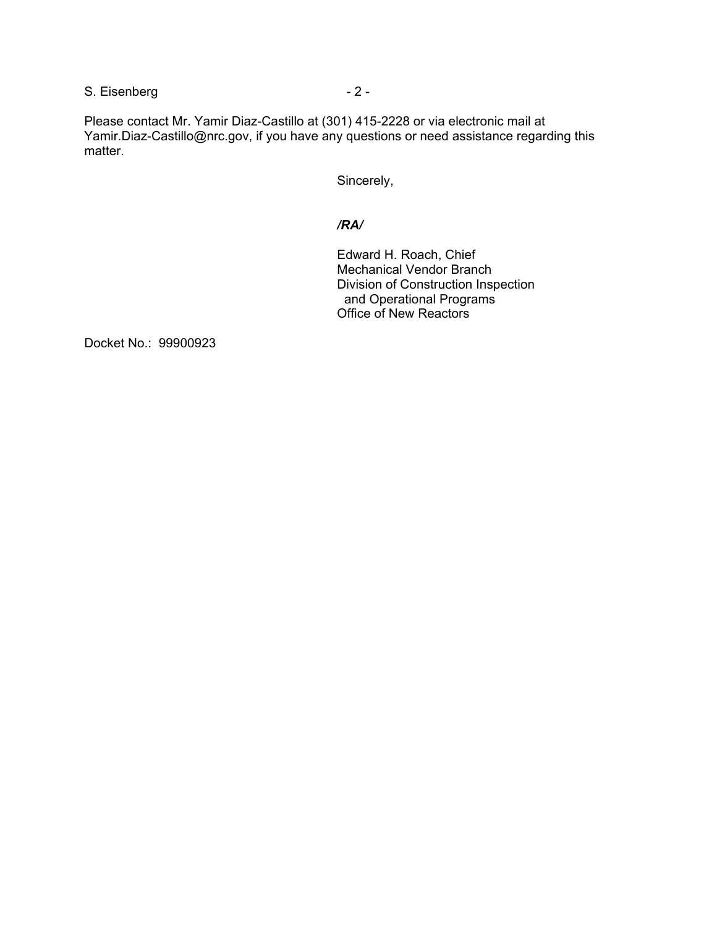S. Eisenberg  $-2 -$ 

Please contact Mr. Yamir Diaz-Castillo at (301) 415-2228 or via electronic mail at Yamir.Diaz-Castillo@nrc.gov, if you have any questions or need assistance regarding this matter.

Sincerely,

## */RA/*

Edward H. Roach, Chief Mechanical Vendor Branch Division of Construction Inspection and Operational Programs Office of New Reactors

Docket No.: 99900923